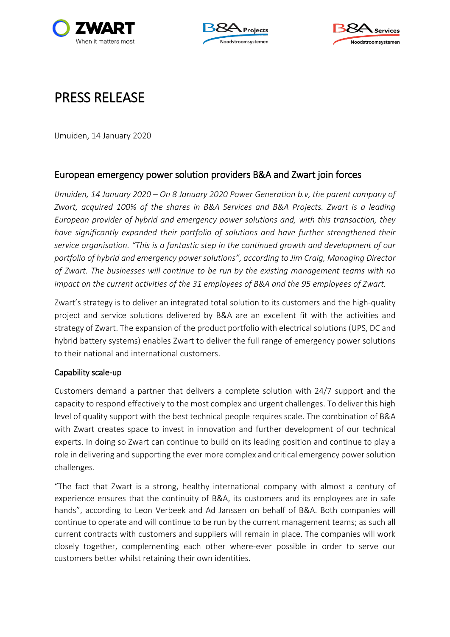





# PRESS RELEASE

IJmuiden, 14 January 2020

# European emergency power solution providers B&A and Zwart join forces

*IJmuiden, 14 January 2020 – On 8 January 2020 Power Generation b.v, the parent company of Zwart, acquired 100% of the shares in B&A Services and B&A Projects. Zwart is a leading European provider of hybrid and emergency power solutions and, with this transaction, they have significantly expanded their portfolio of solutions and have further strengthened their service organisation. "This is a fantastic step in the continued growth and development of our portfolio of hybrid and emergency power solutions", according to Jim Craig, Managing Director of Zwart. The businesses will continue to be run by the existing management teams with no impact on the current activities of the 31 employees of B&A and the 95 employees of Zwart.*

Zwart's strategy is to deliver an integrated total solution to its customers and the high-quality project and service solutions delivered by B&A are an excellent fit with the activities and strategy of Zwart. The expansion of the product portfolio with electrical solutions (UPS, DC and hybrid battery systems) enables Zwart to deliver the full range of emergency power solutions to their national and international customers.

# Capability scale-up

Customers demand a partner that delivers a complete solution with 24/7 support and the capacity to respond effectively to the most complex and urgent challenges. To deliver this high level of quality support with the best technical people requires scale. The combination of B&A with Zwart creates space to invest in innovation and further development of our technical experts. In doing so Zwart can continue to build on its leading position and continue to play a role in delivering and supporting the ever more complex and critical emergency power solution challenges.

"The fact that Zwart is a strong, healthy international company with almost a century of experience ensures that the continuity of B&A, its customers and its employees are in safe hands", according to Leon Verbeek and Ad Janssen on behalf of B&A. Both companies will continue to operate and will continue to be run by the current management teams; as such all current contracts with customers and suppliers will remain in place. The companies will work closely together, complementing each other where-ever possible in order to serve our customers better whilst retaining their own identities.